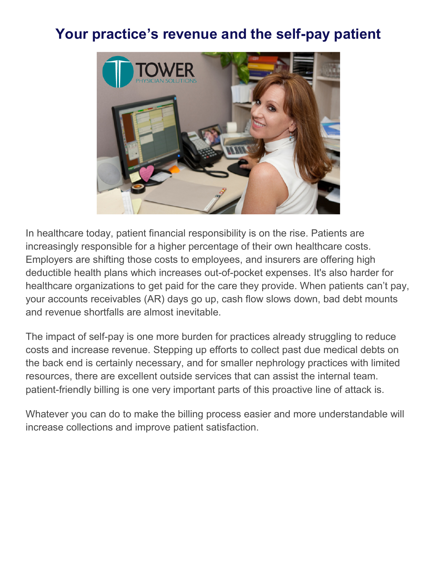## **Your practice's revenue and the self-pay patient**



In healthcare today, patient financial responsibility is on the rise. Patients are increasingly responsible for a higher percentage of their own healthcare costs. Employers are shifting those costs to employees, and insurers are offering high deductible health plans which increases out-of-pocket expenses. It's also harder for healthcare organizations to get paid for the care they provide. When patients can't pay, your accounts receivables (AR) days go up, cash flow slows down, bad debt mounts and revenue shortfalls are almost inevitable.

The impact of self-pay is one more burden for practices already struggling to reduce costs and increase revenue. Stepping up efforts to collect past due medical debts on the back end is certainly necessary, and for smaller nephrology practices with limited resources, there are excellent outside services that can assist the internal team. patient-friendly billing is one very important parts of this proactive line of attack is.

Whatever you can do to make the billing process easier and more understandable will increase collections and improve patient satisfaction.